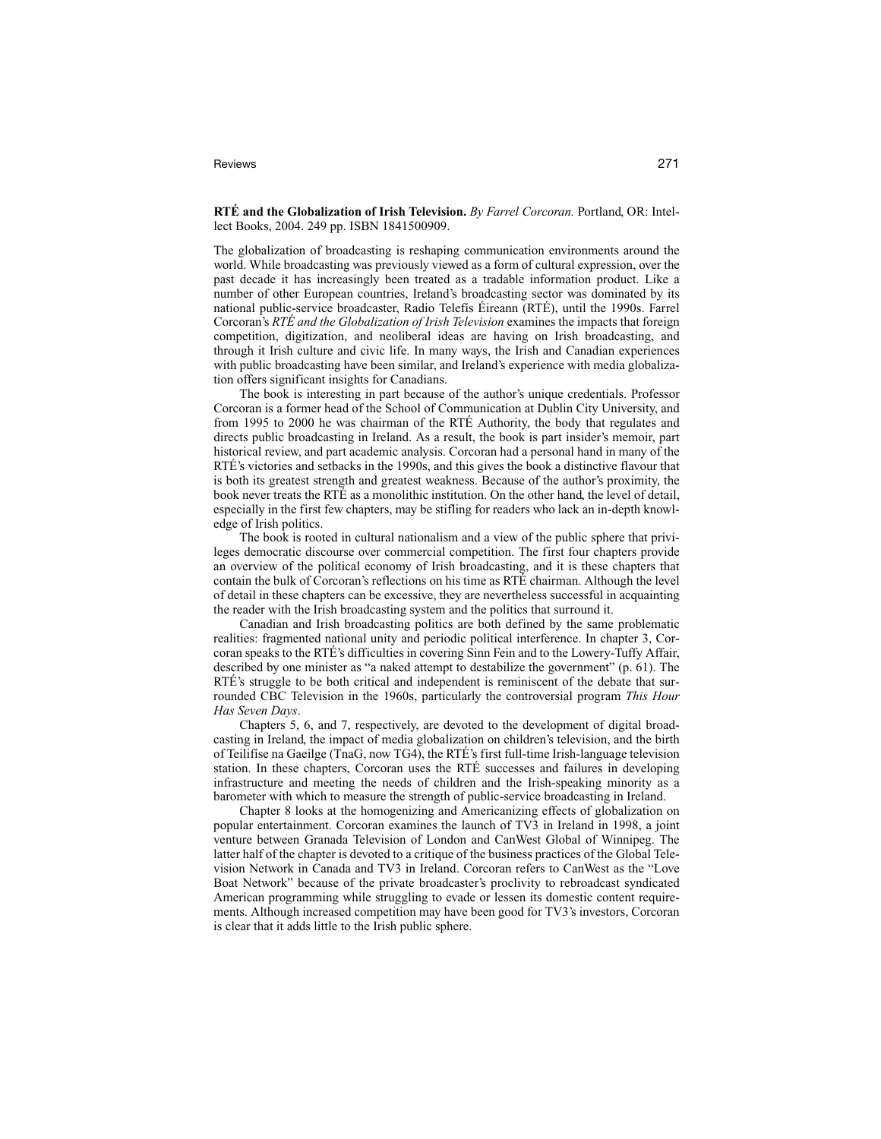## Reviews 271

**RTÉ and the Globalization of Irish Television.** *By Farrel Corcoran.* Portland, OR: Intellect Books, 2004. 249 pp. ISBN 1841500909.

The globalization of broadcasting is reshaping communication environments around the world. While broadcasting was previously viewed as a form of cultural expression, over the past decade it has increasingly been treated as a tradable information product. Like a number of other European countries, Ireland's broadcasting sector was dominated by its national public-service broadcaster, Radio Telefís Éireann (RTÉ), until the 1990s. Farrel Corcoran's *RTÉ and the Globalization of Irish Television* examines the impacts that foreign competition, digitization, and neoliberal ideas are having on Irish broadcasting, and through it Irish culture and civic life. In many ways, the Irish and Canadian experiences with public broadcasting have been similar, and Ireland's experience with media globalization offers significant insights for Canadians.

The book is interesting in part because of the author's unique credentials. Professor Corcoran is a former head of the School of Communication at Dublin City University, and from 1995 to 2000 he was chairman of the RTÉ Authority, the body that regulates and directs public broadcasting in Ireland. As a result, the book is part insider's memoir, part historical review, and part academic analysis. Corcoran had a personal hand in many of the RTÉ's victories and setbacks in the 1990s, and this gives the book a distinctive flavour that is both its greatest strength and greatest weakness. Because of the author's proximity, the book never treats the RTÉ as a monolithic institution. On the other hand, the level of detail, especially in the first few chapters, may be stifling for readers who lack an in-depth knowledge of Irish politics.

The book is rooted in cultural nationalism and a view of the public sphere that privileges democratic discourse over commercial competition. The first four chapters provide an overview of the political economy of Irish broadcasting, and it is these chapters that contain the bulk of Corcoran's reflections on his time as RTÉ chairman. Although the level of detail in these chapters can be excessive, they are nevertheless successful in acquainting the reader with the Irish broadcasting system and the politics that surround it.

Canadian and Irish broadcasting politics are both defined by the same problematic realities: fragmented national unity and periodic political interference. In chapter 3, Corcoran speaks to the RTÉ's difficulties in covering Sinn Fein and to the Lowery-Tuffy Affair, described by one minister as "a naked attempt to destabilize the government" (p. 61). The RTÉ's struggle to be both critical and independent is reminiscent of the debate that surrounded CBC Television in the 1960s, particularly the controversial program *This Hour Has Seven Days*.

Chapters 5, 6, and 7, respectively, are devoted to the development of digital broadcasting in Ireland, the impact of media globalization on children's television, and the birth of Teilifíse na Gaeilge (TnaG, now TG4), the RTÉ's first full-time Irish-language television station. In these chapters, Corcoran uses the RTÉ successes and failures in developing infrastructure and meeting the needs of children and the Irish-speaking minority as a barometer with which to measure the strength of public-service broadcasting in Ireland.

Chapter 8 looks at the homogenizing and Americanizing effects of globalization on popular entertainment. Corcoran examines the launch of TV3 in Ireland in 1998, a joint venture between Granada Television of London and CanWest Global of Winnipeg. The latter half of the chapter is devoted to a critique of the business practices of the Global Television Network in Canada and TV3 in Ireland. Corcoran refers to CanWest as the "Love Boat Network" because of the private broadcaster's proclivity to rebroadcast syndicated American programming while struggling to evade or lessen its domestic content requirements. Although increased competition may have been good for TV3's investors, Corcoran is clear that it adds little to the Irish public sphere.